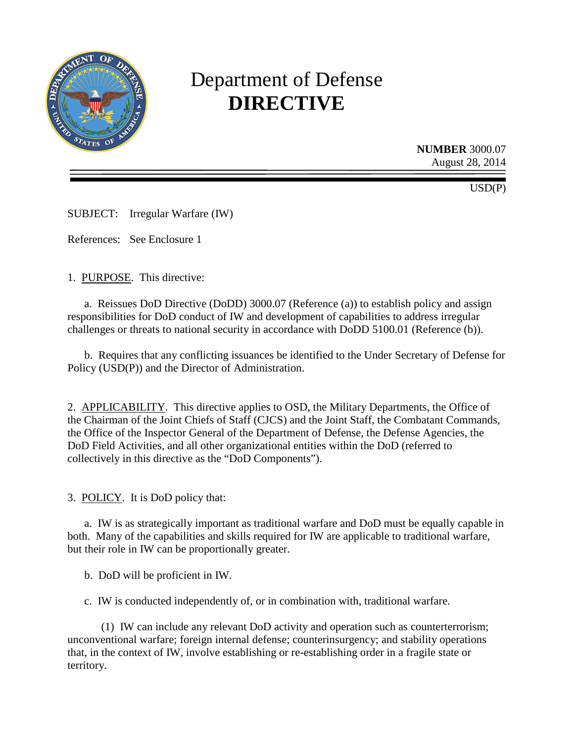

# Department of Defense **DIRECTIVE**

**NUMBER** 3000.07 August 28, 2014

USD(P)

SUBJECT: Irregular Warfare (IW)

References: See Enclosure 1

1. PURPOSE. This directive:

a. Reissues DoD Directive (DoDD) 3000.07 (Reference (a)) to establish policy and assign responsibilities for DoD conduct of IW and development of capabilities to address irregular challenges or threats to national security in accordance with DoDD 5100.01 (Reference (b)).

b. Requires that any conflicting issuances be identified to the Under Secretary of Defense for Policy (USD(P)) and the Director of Administration.

2. APPLICABILITY. This directive applies to OSD, the Military Departments, the Office of the Chairman of the Joint Chiefs of Staff (CJCS) and the Joint Staff, the Combatant Commands, the Office of the Inspector General of the Department of Defense, the Defense Agencies, the DoD Field Activities, and all other organizational entities within the DoD (referred to collectively in this directive as the "DoD Components").

3. POLICY. It is DoD policy that:

a. IW is as strategically important as traditional warfare and DoD must be equally capable in both. Many of the capabilities and skills required for IW are applicable to traditional warfare, but their role in IW can be proportionally greater.

b. DoD will be proficient in IW.

c. IW is conducted independently of, or in combination with, traditional warfare.

(1) IW can include any relevant DoD activity and operation such as counterterrorism; unconventional warfare; foreign internal defense; counterinsurgency; and stability operations that, in the context of IW, involve establishing or re-establishing order in a fragile state or territory.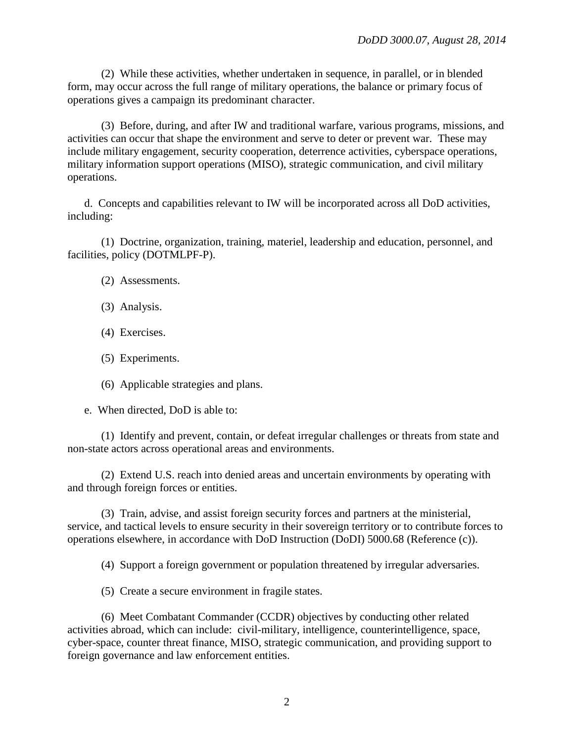(2) While these activities, whether undertaken in sequence, in parallel, or in blended form, may occur across the full range of military operations, the balance or primary focus of operations gives a campaign its predominant character.

(3) Before, during, and after IW and traditional warfare, various programs, missions, and activities can occur that shape the environment and serve to deter or prevent war. These may include military engagement, security cooperation, deterrence activities, cyberspace operations, military information support operations (MISO), strategic communication, and civil military operations.

d. Concepts and capabilities relevant to IW will be incorporated across all DoD activities, including:

(1) Doctrine, organization, training, materiel, leadership and education, personnel, and facilities, policy (DOTMLPF-P).

- (2) Assessments.
- (3) Analysis.
- (4) Exercises.
- (5) Experiments.
- (6) Applicable strategies and plans.
- e. When directed, DoD is able to:

(1) Identify and prevent, contain, or defeat irregular challenges or threats from state and non-state actors across operational areas and environments.

(2) Extend U.S. reach into denied areas and uncertain environments by operating with and through foreign forces or entities.

(3) Train, advise, and assist foreign security forces and partners at the ministerial, service, and tactical levels to ensure security in their sovereign territory or to contribute forces to operations elsewhere, in accordance with DoD Instruction (DoDI) 5000.68 (Reference (c)).

(4) Support a foreign government or population threatened by irregular adversaries.

(5) Create a secure environment in fragile states.

(6) Meet Combatant Commander (CCDR) objectives by conducting other related activities abroad, which can include: civil-military, intelligence, counterintelligence, space, cyber-space, counter threat finance, MISO, strategic communication, and providing support to foreign governance and law enforcement entities.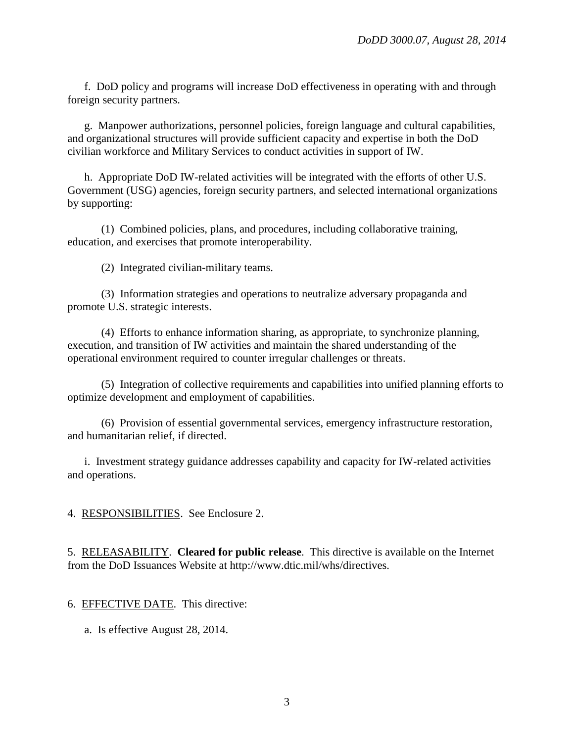f. DoD policy and programs will increase DoD effectiveness in operating with and through foreign security partners.

g. Manpower authorizations, personnel policies, foreign language and cultural capabilities, and organizational structures will provide sufficient capacity and expertise in both the DoD civilian workforce and Military Services to conduct activities in support of IW.

h. Appropriate DoD IW-related activities will be integrated with the efforts of other U.S. Government (USG) agencies, foreign security partners, and selected international organizations by supporting:

(1) Combined policies, plans, and procedures, including collaborative training, education, and exercises that promote interoperability.

(2) Integrated civilian-military teams.

(3) Information strategies and operations to neutralize adversary propaganda and promote U.S. strategic interests.

(4) Efforts to enhance information sharing, as appropriate, to synchronize planning, execution, and transition of IW activities and maintain the shared understanding of the operational environment required to counter irregular challenges or threats.

(5) Integration of collective requirements and capabilities into unified planning efforts to optimize development and employment of capabilities.

(6) Provision of essential governmental services, emergency infrastructure restoration, and humanitarian relief, if directed.

i. Investment strategy guidance addresses capability and capacity for IW-related activities and operations.

4. RESPONSIBILITIES. See Enclosure 2.

5. RELEASABILITY. **Cleared for public release**. This directive is available on the Internet from the DoD Issuances Website at http://www.dtic.mil/whs/directives.

6. EFFECTIVE DATE. This directive:

a. Is effective August 28, 2014.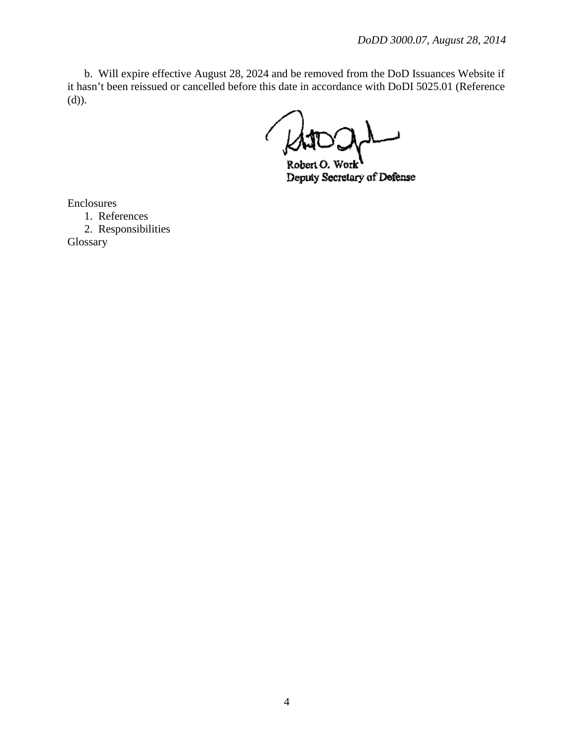b. Will expire effective August 28, 2024 and be removed from the DoD Issuances Website if it hasn't been reissued or cancelled before this date in accordance with DoDI 5025.01 (Reference (d)).

'ork Robert O. Deputy Secretary of Defense

Enclosures

1. References 2. Responsibilities

Glossary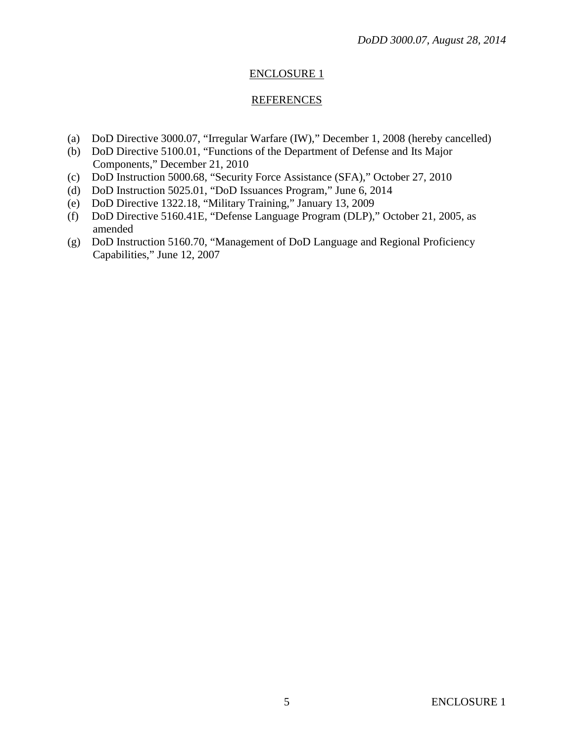# ENCLOSURE 1

## REFERENCES

- (a) DoD Directive 3000.07, "Irregular Warfare (IW)," December 1, 2008 (hereby cancelled)
- (b) DoD Directive 5100.01, "Functions of the Department of Defense and Its Major Components," December 21, 2010
- (c) DoD Instruction 5000.68, "Security Force Assistance (SFA)," October 27, 2010
- (d) DoD Instruction 5025.01, "DoD Issuances Program," June 6, 2014
- (e) DoD Directive 1322.18, "Military Training," January 13, 2009
- (f) DoD Directive 5160.41E, "Defense Language Program (DLP)," October 21, 2005, as amended
- (g) DoD Instruction 5160.70, "Management of DoD Language and Regional Proficiency Capabilities," June 12, 2007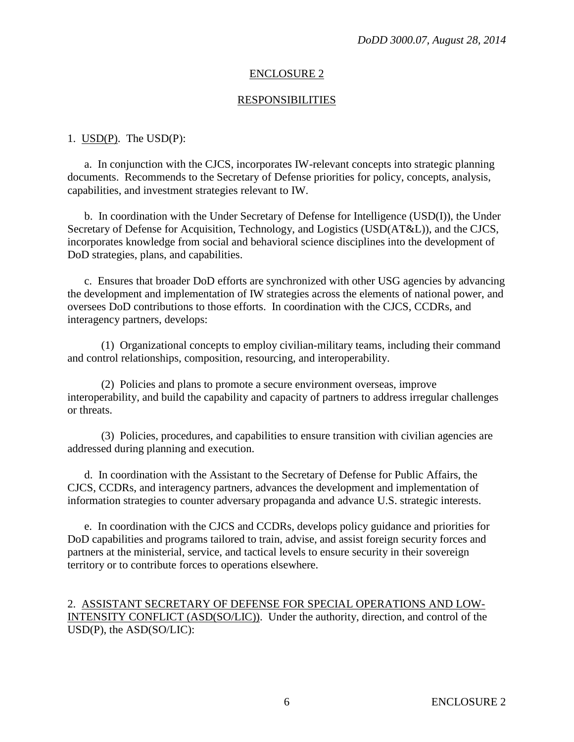## ENCLOSURE 2

#### **RESPONSIBILITIES**

#### 1. USD(P). The USD(P):

a. In conjunction with the CJCS, incorporates IW-relevant concepts into strategic planning documents. Recommends to the Secretary of Defense priorities for policy, concepts, analysis, capabilities, and investment strategies relevant to IW.

b. In coordination with the Under Secretary of Defense for Intelligence (USD(I)), the Under Secretary of Defense for Acquisition, Technology, and Logistics (USD(AT&L)), and the CJCS, incorporates knowledge from social and behavioral science disciplines into the development of DoD strategies, plans, and capabilities.

c. Ensures that broader DoD efforts are synchronized with other USG agencies by advancing the development and implementation of IW strategies across the elements of national power, and oversees DoD contributions to those efforts. In coordination with the CJCS, CCDRs, and interagency partners, develops:

(1) Organizational concepts to employ civilian-military teams, including their command and control relationships, composition, resourcing, and interoperability.

(2) Policies and plans to promote a secure environment overseas, improve interoperability, and build the capability and capacity of partners to address irregular challenges or threats.

(3) Policies, procedures, and capabilities to ensure transition with civilian agencies are addressed during planning and execution.

d. In coordination with the Assistant to the Secretary of Defense for Public Affairs, the CJCS, CCDRs, and interagency partners, advances the development and implementation of information strategies to counter adversary propaganda and advance U.S. strategic interests.

e. In coordination with the CJCS and CCDRs, develops policy guidance and priorities for DoD capabilities and programs tailored to train, advise, and assist foreign security forces and partners at the ministerial, service, and tactical levels to ensure security in their sovereign territory or to contribute forces to operations elsewhere.

## 2. ASSISTANT SECRETARY OF DEFENSE FOR SPECIAL OPERATIONS AND LOW-INTENSITY CONFLICT (ASD(SO/LIC)). Under the authority, direction, and control of the USD(P), the ASD(SO/LIC):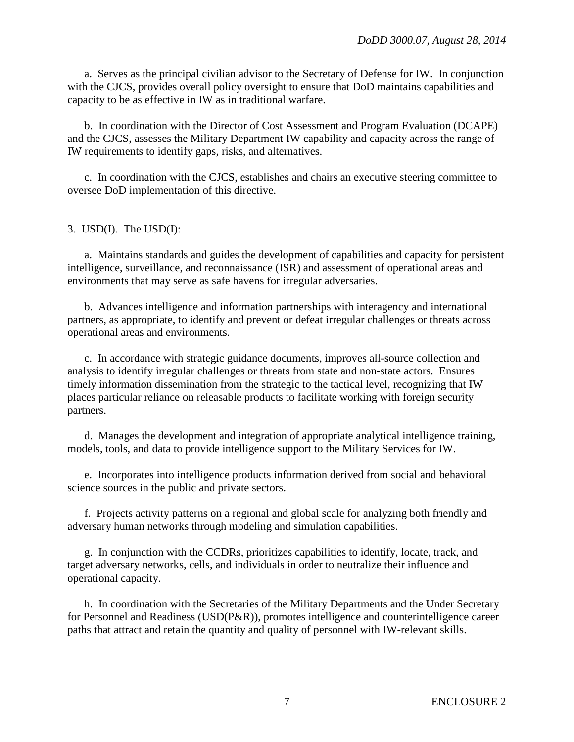a. Serves as the principal civilian advisor to the Secretary of Defense for IW. In conjunction with the CJCS, provides overall policy oversight to ensure that DoD maintains capabilities and capacity to be as effective in IW as in traditional warfare.

b. In coordination with the Director of Cost Assessment and Program Evaluation (DCAPE) and the CJCS, assesses the Military Department IW capability and capacity across the range of IW requirements to identify gaps, risks, and alternatives.

c. In coordination with the CJCS, establishes and chairs an executive steering committee to oversee DoD implementation of this directive.

## 3. USD(I). The USD(I):

a. Maintains standards and guides the development of capabilities and capacity for persistent intelligence, surveillance, and reconnaissance (ISR) and assessment of operational areas and environments that may serve as safe havens for irregular adversaries.

b. Advances intelligence and information partnerships with interagency and international partners, as appropriate, to identify and prevent or defeat irregular challenges or threats across operational areas and environments.

c. In accordance with strategic guidance documents, improves all-source collection and analysis to identify irregular challenges or threats from state and non-state actors. Ensures timely information dissemination from the strategic to the tactical level, recognizing that IW places particular reliance on releasable products to facilitate working with foreign security partners.

d. Manages the development and integration of appropriate analytical intelligence training, models, tools, and data to provide intelligence support to the Military Services for IW.

e. Incorporates into intelligence products information derived from social and behavioral science sources in the public and private sectors.

f. Projects activity patterns on a regional and global scale for analyzing both friendly and adversary human networks through modeling and simulation capabilities.

g. In conjunction with the CCDRs, prioritizes capabilities to identify, locate, track, and target adversary networks, cells, and individuals in order to neutralize their influence and operational capacity.

h. In coordination with the Secretaries of the Military Departments and the Under Secretary for Personnel and Readiness (USD(P&R)), promotes intelligence and counterintelligence career paths that attract and retain the quantity and quality of personnel with IW-relevant skills.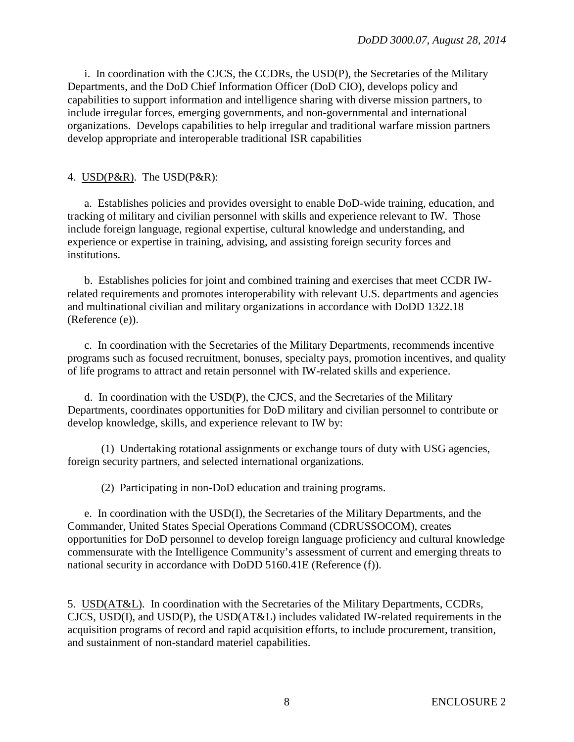i. In coordination with the CJCS, the CCDRs, the USD(P), the Secretaries of the Military Departments, and the DoD Chief Information Officer (DoD CIO), develops policy and capabilities to support information and intelligence sharing with diverse mission partners, to include irregular forces, emerging governments, and non-governmental and international organizations. Develops capabilities to help irregular and traditional warfare mission partners develop appropriate and interoperable traditional ISR capabilities

## 4. USD(P&R). The USD(P&R):

a. Establishes policies and provides oversight to enable DoD-wide training, education, and tracking of military and civilian personnel with skills and experience relevant to IW. Those include foreign language, regional expertise, cultural knowledge and understanding, and experience or expertise in training, advising, and assisting foreign security forces and institutions.

b. Establishes policies for joint and combined training and exercises that meet CCDR IWrelated requirements and promotes interoperability with relevant U.S. departments and agencies and multinational civilian and military organizations in accordance with DoDD 1322.18 (Reference (e)).

c. In coordination with the Secretaries of the Military Departments, recommends incentive programs such as focused recruitment, bonuses, specialty pays, promotion incentives, and quality of life programs to attract and retain personnel with IW-related skills and experience.

d. In coordination with the USD(P), the CJCS, and the Secretaries of the Military Departments, coordinates opportunities for DoD military and civilian personnel to contribute or develop knowledge, skills, and experience relevant to IW by:

(1) Undertaking rotational assignments or exchange tours of duty with USG agencies, foreign security partners, and selected international organizations.

(2) Participating in non-DoD education and training programs.

e. In coordination with the USD(I), the Secretaries of the Military Departments, and the Commander, United States Special Operations Command (CDRUSSOCOM), creates opportunities for DoD personnel to develop foreign language proficiency and cultural knowledge commensurate with the Intelligence Community's assessment of current and emerging threats to national security in accordance with DoDD 5160.41E (Reference (f)).

5. USD(AT&L). In coordination with the Secretaries of the Military Departments, CCDRs, CJCS, USD(I), and USD(P), the USD(AT&L) includes validated IW-related requirements in the acquisition programs of record and rapid acquisition efforts, to include procurement, transition, and sustainment of non-standard materiel capabilities.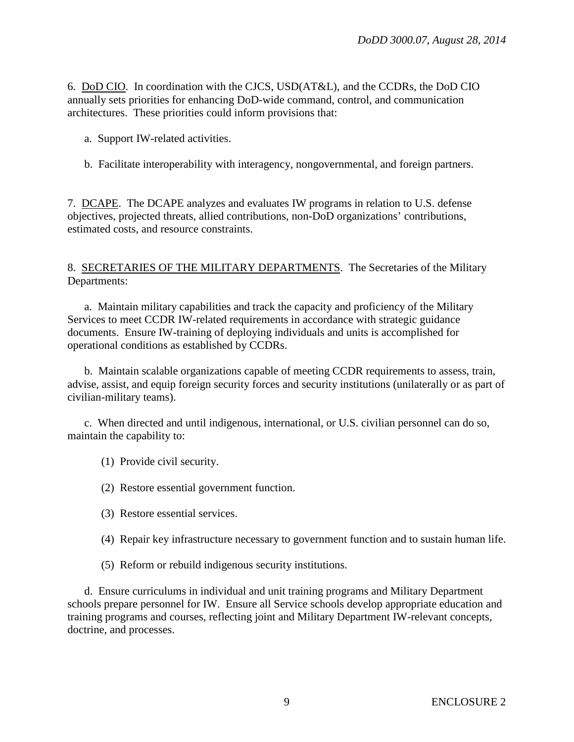6. DoD CIO. In coordination with the CJCS, USD(AT&L), and the CCDRs, the DoD CIO annually sets priorities for enhancing DoD-wide command, control, and communication architectures. These priorities could inform provisions that:

- a. Support IW-related activities.
- b. Facilitate interoperability with interagency, nongovernmental, and foreign partners.

7. DCAPE. The DCAPE analyzes and evaluates IW programs in relation to U.S. defense objectives, projected threats, allied contributions, non-DoD organizations' contributions, estimated costs, and resource constraints.

## 8. SECRETARIES OF THE MILITARY DEPARTMENTS. The Secretaries of the Military Departments:

a. Maintain military capabilities and track the capacity and proficiency of the Military Services to meet CCDR IW-related requirements in accordance with strategic guidance documents. Ensure IW-training of deploying individuals and units is accomplished for operational conditions as established by CCDRs.

b. Maintain scalable organizations capable of meeting CCDR requirements to assess, train, advise, assist, and equip foreign security forces and security institutions (unilaterally or as part of civilian-military teams).

c. When directed and until indigenous, international, or U.S. civilian personnel can do so, maintain the capability to:

(1) Provide civil security.

(2) Restore essential government function.

- (3) Restore essential services.
- (4) Repair key infrastructure necessary to government function and to sustain human life.
- (5) Reform or rebuild indigenous security institutions.

d. Ensure curriculums in individual and unit training programs and Military Department schools prepare personnel for IW. Ensure all Service schools develop appropriate education and training programs and courses, reflecting joint and Military Department IW-relevant concepts, doctrine, and processes.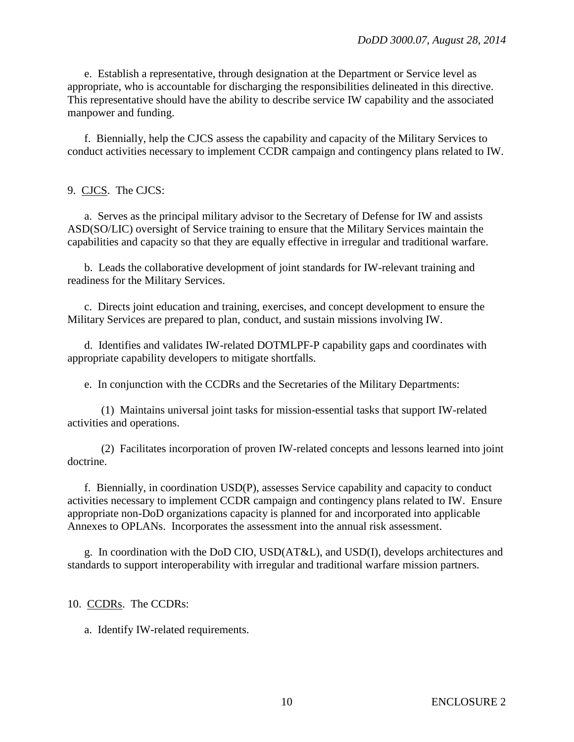e. Establish a representative, through designation at the Department or Service level as appropriate, who is accountable for discharging the responsibilities delineated in this directive. This representative should have the ability to describe service IW capability and the associated manpower and funding.

f. Biennially, help the CJCS assess the capability and capacity of the Military Services to conduct activities necessary to implement CCDR campaign and contingency plans related to IW.

# 9. CJCS. The CJCS:

a. Serves as the principal military advisor to the Secretary of Defense for IW and assists ASD(SO/LIC) oversight of Service training to ensure that the Military Services maintain the capabilities and capacity so that they are equally effective in irregular and traditional warfare.

b. Leads the collaborative development of joint standards for IW-relevant training and readiness for the Military Services.

c. Directs joint education and training, exercises, and concept development to ensure the Military Services are prepared to plan, conduct, and sustain missions involving IW.

d. Identifies and validates IW-related DOTMLPF-P capability gaps and coordinates with appropriate capability developers to mitigate shortfalls.

e. In conjunction with the CCDRs and the Secretaries of the Military Departments:

(1) Maintains universal joint tasks for mission-essential tasks that support IW-related activities and operations.

(2) Facilitates incorporation of proven IW-related concepts and lessons learned into joint doctrine.

f. Biennially, in coordination USD(P), assesses Service capability and capacity to conduct activities necessary to implement CCDR campaign and contingency plans related to IW. Ensure appropriate non-DoD organizations capacity is planned for and incorporated into applicable Annexes to OPLANs. Incorporates the assessment into the annual risk assessment.

g. In coordination with the DoD CIO, USD(AT&L), and USD(I), develops architectures and standards to support interoperability with irregular and traditional warfare mission partners.

10. CCDRs. The CCDRs:

a. Identify IW-related requirements.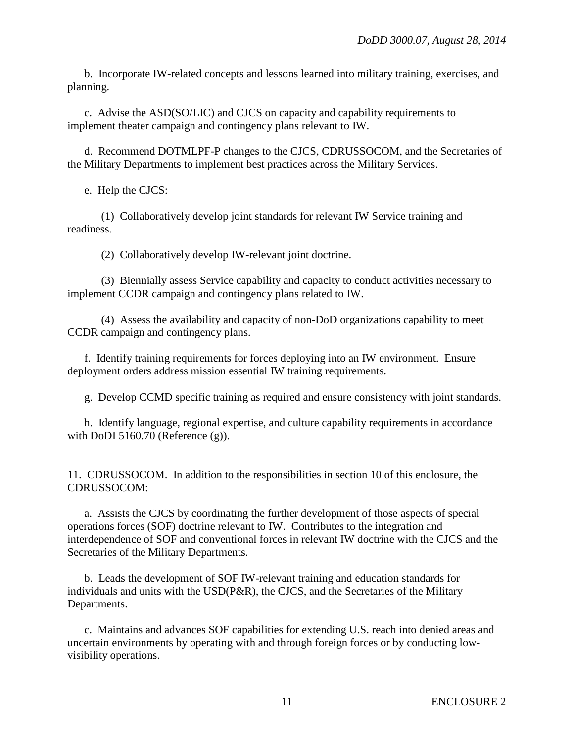b. Incorporate IW-related concepts and lessons learned into military training, exercises, and planning.

c. Advise the ASD(SO/LIC) and CJCS on capacity and capability requirements to implement theater campaign and contingency plans relevant to IW.

d. Recommend DOTMLPF-P changes to the CJCS, CDRUSSOCOM, and the Secretaries of the Military Departments to implement best practices across the Military Services.

e. Help the CJCS:

(1) Collaboratively develop joint standards for relevant IW Service training and readiness.

(2) Collaboratively develop IW-relevant joint doctrine.

(3) Biennially assess Service capability and capacity to conduct activities necessary to implement CCDR campaign and contingency plans related to IW.

(4) Assess the availability and capacity of non-DoD organizations capability to meet CCDR campaign and contingency plans.

f. Identify training requirements for forces deploying into an IW environment. Ensure deployment orders address mission essential IW training requirements.

g. Develop CCMD specific training as required and ensure consistency with joint standards.

h. Identify language, regional expertise, and culture capability requirements in accordance with DoDI 5160.70 (Reference (g)).

11. CDRUSSOCOM. In addition to the responsibilities in section 10 of this enclosure, the CDRUSSOCOM:

a. Assists the CJCS by coordinating the further development of those aspects of special operations forces (SOF) doctrine relevant to IW. Contributes to the integration and interdependence of SOF and conventional forces in relevant IW doctrine with the CJCS and the Secretaries of the Military Departments.

b. Leads the development of SOF IW-relevant training and education standards for individuals and units with the USD(P&R), the CJCS, and the Secretaries of the Military Departments.

c. Maintains and advances SOF capabilities for extending U.S. reach into denied areas and uncertain environments by operating with and through foreign forces or by conducting lowvisibility operations.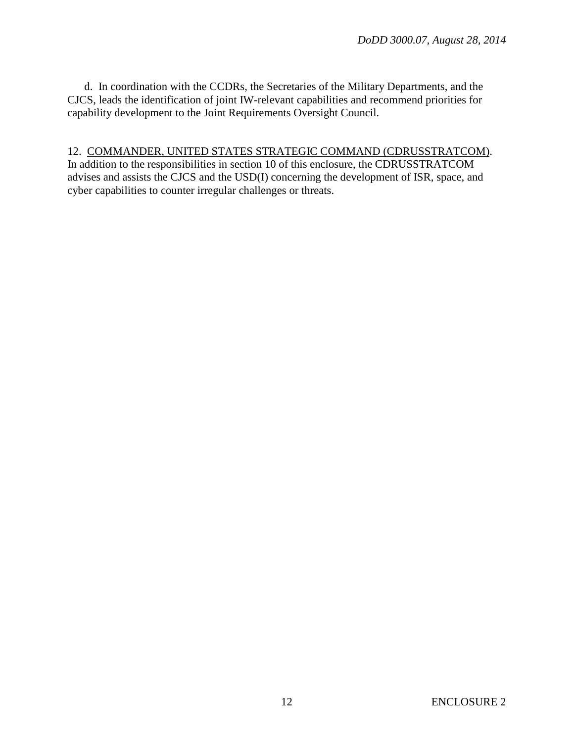d. In coordination with the CCDRs, the Secretaries of the Military Departments, and the CJCS, leads the identification of joint IW-relevant capabilities and recommend priorities for capability development to the Joint Requirements Oversight Council.

#### 12. COMMANDER, UNITED STATES STRATEGIC COMMAND (CDRUSSTRATCOM).

In addition to the responsibilities in section 10 of this enclosure, the CDRUSSTRATCOM advises and assists the CJCS and the USD(I) concerning the development of ISR, space, and cyber capabilities to counter irregular challenges or threats.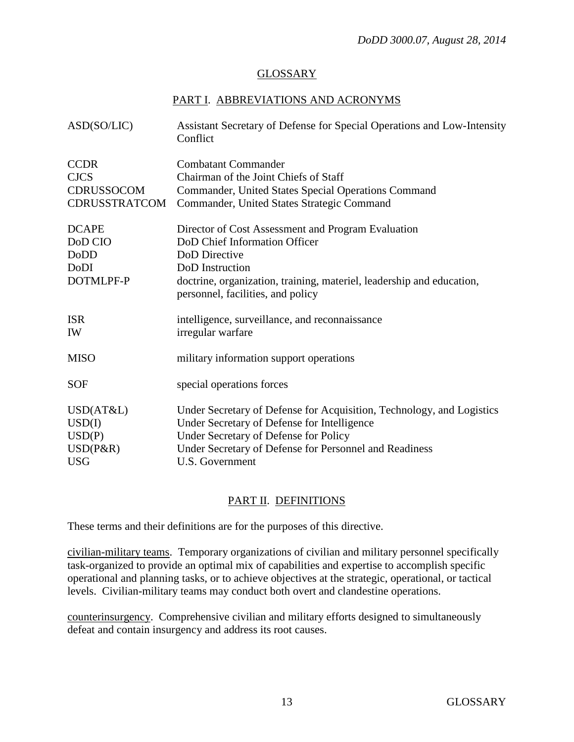## GLOSSARY

## PART I. ABBREVIATIONS AND ACRONYMS

| ASD(SO/LIC)          | Assistant Secretary of Defense for Special Operations and Low-Intensity<br>Conflict                        |
|----------------------|------------------------------------------------------------------------------------------------------------|
| <b>CCDR</b>          | <b>Combatant Commander</b>                                                                                 |
| <b>CJCS</b>          | Chairman of the Joint Chiefs of Staff                                                                      |
| CDRUSSOCOM           | Commander, United States Special Operations Command                                                        |
| <b>CDRUSSTRATCOM</b> | Commander, United States Strategic Command                                                                 |
| <b>DCAPE</b>         | Director of Cost Assessment and Program Evaluation                                                         |
| DoD CIO              | DoD Chief Information Officer                                                                              |
| DoDD                 | DoD Directive                                                                                              |
| DoDI                 | DoD Instruction                                                                                            |
| DOTMLPF-P            | doctrine, organization, training, materiel, leadership and education,<br>personnel, facilities, and policy |
| <b>ISR</b>           | intelligence, surveillance, and reconnaissance                                                             |
| IW                   | irregular warfare                                                                                          |
| <b>MISO</b>          | military information support operations                                                                    |
| <b>SOF</b>           | special operations forces                                                                                  |
| USD(AT&L)            | Under Secretary of Defense for Acquisition, Technology, and Logistics                                      |
| USD(I)               | Under Secretary of Defense for Intelligence                                                                |
| USD(P)               | Under Secretary of Defense for Policy                                                                      |
| USD(P&R)             | Under Secretary of Defense for Personnel and Readiness                                                     |
| <b>USG</b>           | U.S. Government                                                                                            |

## PART II. DEFINITIONS

These terms and their definitions are for the purposes of this directive.

civilian-military teams. Temporary organizations of civilian and military personnel specifically task-organized to provide an optimal mix of capabilities and expertise to accomplish specific operational and planning tasks, or to achieve objectives at the strategic, operational, or tactical levels. Civilian-military teams may conduct both overt and clandestine operations.

counterinsurgency. Comprehensive civilian and military efforts designed to simultaneously defeat and contain insurgency and address its root causes.